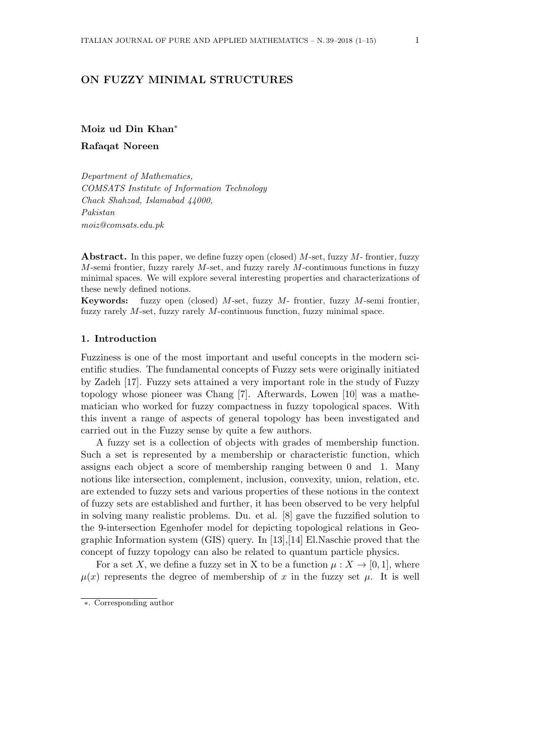# **ON FUZZY MINIMAL STRUCTURES**

**Moiz ud Din Khan***∗*

**Rafaqat Noreen**

*Department of Mathematics, COMSATS Institute of Information Technology Chack Shahzad, Islamabad 44000, Pakistan moiz@comsats.edu.pk*

**Abstract.** In this paper, we define fuzzy open (closed) *M*-set, fuzzy *M*- frontier, fuzzy *M*-semi frontier, fuzzy rarely *M*-set, and fuzzy rarely *M*-continuous functions in fuzzy minimal spaces. We will explore several interesting properties and characterizations of these newly defined notions.

**Keywords:** fuzzy open (closed) *M*-set, fuzzy *M*- frontier, fuzzy *M*-semi frontier, fuzzy rarely *M*-set, fuzzy rarely *M*-continuous function, fuzzy minimal space.

## **1. Introduction**

Fuzziness is one of the most important and useful concepts in the modern scientific studies. The fundamental concepts of Fuzzy sets were originally initiated by Zadeh [17]. Fuzzy sets attained a very important role in the study of Fuzzy topology whose pioneer was Chang [7]. Afterwards, Lowen [10] was a mathematician who worked for fuzzy compactness in fuzzy topological spaces. With this invent a range of aspects of general topology has been investigated and carried out in the Fuzzy sense by quite a few authors.

A fuzzy set is a collection of objects with grades of membership function. Such a set is represented by a membership or characteristic function, which assigns each object a score of membership ranging between 0 and 1. Many notions like intersection, complement, inclusion, convexity, union, relation, etc. are extended to fuzzy sets and various properties of these notions in the context of fuzzy sets are established and further, it has been observed to be very helpful in solving many realistic problems. Du. et al. [8] gave the fuzzified solution to the 9-intersection Egenhofer model for depicting topological relations in Geographic Information system (GIS) query. In [13],[14] El.Naschie proved that the concept of fuzzy topology can also be related to quantum particle physics.

For a set *X*, we define a fuzzy set in X to be a function  $\mu : X \to [0,1]$ , where  $\mu(x)$  represents the degree of membership of *x* in the fuzzy set  $\mu$ . It is well

*<sup>∗</sup>*. Corresponding author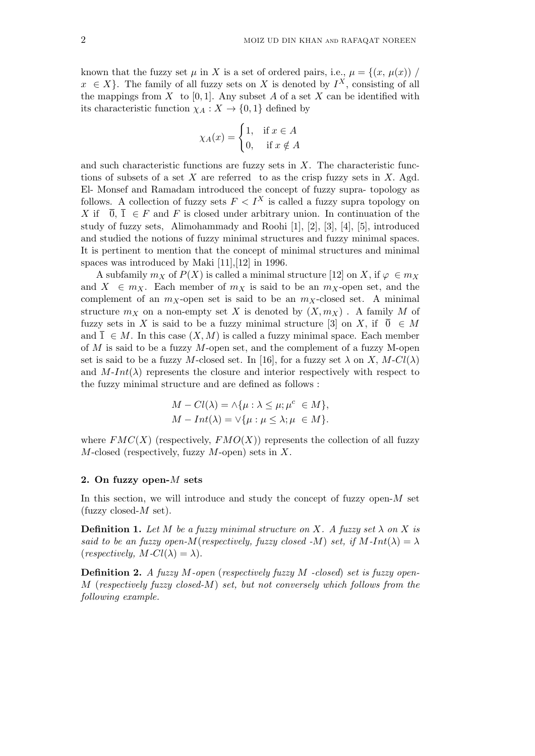known that the fuzzy set  $\mu$  in X is a set of ordered pairs, i.e.,  $\mu = \{(x, \mu(x))\}$  $x \in X$ . The family of all fuzzy sets on *X* is denoted by  $I^X$ , consisting of all the mappings from *X* to [0, 1]. Any subset *A* of a set *X* can be identified with its characteristic function  $\chi_A : X \to \{0,1\}$  defined by

$$
\chi_A(x) = \begin{cases} 1, & \text{if } x \in A \\ 0, & \text{if } x \notin A \end{cases}
$$

and such characteristic functions are fuzzy sets in *X*. The characteristic functions of subsets of a set *X* are referred to as the crisp fuzzy sets in *X.* Agd. El- Monsef and Ramadam introduced the concept of fuzzy supra- topology as follows. A collection of fuzzy sets  $F < I<sup>X</sup>$  is called a fuzzy supra topology on *X* if  $\overline{0}$ ,  $\overline{1} \in F$  and *F* is closed under arbitrary union. In continuation of the study of fuzzy sets, Alimohammady and Roohi [1], [2], [3], [4], [5], introduced and studied the notions of fuzzy minimal structures and fuzzy minimal spaces. It is pertinent to mention that the concept of minimal structures and minimal spaces was introduced by Maki [11],[12] in 1996.

A subfamily  $m_X$  of  $P(X)$  is called a minimal structure [12] on X, if  $\varphi \in m_X$ and  $X \in m_X$ . Each member of  $m_X$  is said to be an  $m_X$ -open set, and the complement of an  $m<sub>X</sub>$ -open set is said to be an  $m<sub>X</sub>$ -closed set. A minimal structure  $m_X$  on a non-empty set X is denoted by  $(X, m_X)$ . A family M of fuzzy sets in *X* is said to be a fuzzy minimal structure [3] on *X*, if  $\overline{0} \in M$ and  $\overline{1} \in M$ . In this case  $(X, M)$  is called a fuzzy minimal space. Each member of *M* is said to be a fuzzy *M*-open set, and the complement of a fuzzy M-open set is said to be a fuzzy *M*-closed set. In [16], for a fuzzy set  $\lambda$  on *X*, *M*-*Cl*( $\lambda$ ) and  $M\text{-}Int(\lambda)$  represents the closure and interior respectively with respect to the fuzzy minimal structure and are defined as follows :

$$
M - Cl(\lambda) = \land \{\mu : \lambda \le \mu; \mu^c \in M\},
$$
  

$$
M - Int(\lambda) = \lor \{\mu : \mu \le \lambda; \mu \in M\}.
$$

where  $FMC(X)$  (respectively,  $FMO(X)$ ) represents the collection of all fuzzy *M*-closed (respectively, fuzzy *M*-open) sets in *X*.

## **2. On fuzzy open-***M* **sets**

In this section, we will introduce and study the concept of fuzzy open-*M* set (fuzzy closed-*M* set).

**Definition 1.** Let  $M$  be a fuzzy minimal structure on  $X$ . A fuzzy set  $\lambda$  on  $X$  is *said to be an fuzzy open-M*(*respectively, fuzzy closed -M*) *set, if*  $M$ - $Int(\lambda) = \lambda$  $(respectively, M-Cl(\lambda) = \lambda).$ 

**Definition 2.** *A fuzzy M-open* (*respectively fuzzy M -closed*) *set is fuzzy open-M* (*respectively fuzzy closed-M*) *set, but not conversely which follows from the following example.*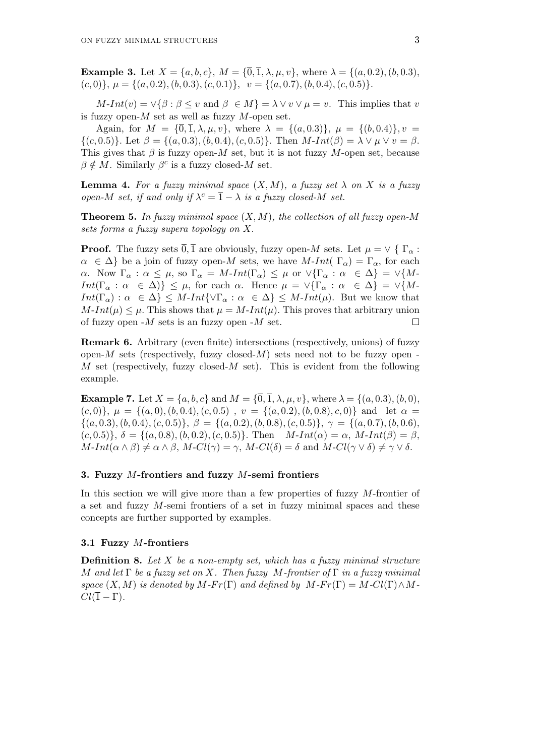**Example 3.** Let  $X = \{a, b, c\}$ ,  $M = \{\overline{0}, \overline{1}, \lambda, \mu, v\}$ , where  $\lambda = \{(a, 0.2), (b, 0.3),$  $(c,0)$ ,  $\mu = \{(a,0.2), (b,0.3), (c,0.1)\}, v = \{(a,0.7), (b,0.4), (c,0.5)\}.$ 

 $M$ -*Int*(*v*) =  $\vee$ { $\beta$  :  $\beta$  < *v* and  $\beta \in M$ } =  $\lambda \vee v \vee \mu = v$ . This implies that *v* is fuzzy open-*M* set as well as fuzzy *M*-open set.

Again, for  $M = {\overline{0}, \overline{1}, \lambda, \mu, v}$ , where  $\lambda = {\{(a, 0.3)\}, \mu = {\{(b, 0.4)\}, v =$  $\{(c, 0.5)\}\.$  Let  $\beta = \{(a, 0.3), (b, 0.4), (c, 0.5)\}\.$  Then  $M\text{-}Int(\beta) = \lambda \vee \mu \vee v = \beta$ . This gives that  $\beta$  is fuzzy open-*M* set, but it is not fuzzy *M*-open set, because  $\beta \notin M$ . Similarly  $\beta^c$  is a fuzzy closed-*M* set.

**Lemma 4.** For a fuzzy minimal space  $(X, M)$ , a fuzzy set  $\lambda$  on X is a fuzzy *open-M set, if and only if*  $\lambda^c = \overline{1} - \lambda$  *is a fuzzy closed-M set.* 

**Theorem 5.** *In fuzzy minimal space* (*X, M*)*, the collection of all fuzzy open-M sets forms a fuzzy supera topology on X.*

**Proof.** The fuzzy sets  $\overline{0}$ ,  $\overline{1}$  are obviously, fuzzy open-*M* sets. Let  $\mu = \vee \{ \Gamma_{\alpha} :$  $\alpha \in \Delta$  be a join of fuzzy open-*M* sets, we have *M*-*Int*(  $\Gamma_{\alpha}$ ) =  $\Gamma_{\alpha}$ , for each *α*. Now  $\Gamma_{\alpha} : \alpha \leq \mu$ , so  $\Gamma_{\alpha} = M\text{-}Int(\Gamma_{\alpha}) \leq \mu$  or  $\vee \{\Gamma_{\alpha} : \alpha \in \Delta\} = \vee \{M\text{-}Int(\Gamma_{\alpha}) \leq \mu \}$ *Int*(Γ<sub>α</sub> :  $\alpha \in \Delta$ )}  $\leq \mu$ , for each  $\alpha$ . Hence  $\mu = \sqrt{\{\Gamma_{\alpha} : \alpha \in \Delta\}} = \sqrt{\{M - \Gamma_{\alpha} : \alpha \in \Delta\}}$  $Int(\Gamma_{\alpha}) : \alpha \in \Delta$   $\leq M$ -*Int* $\{\vee \Gamma_{\alpha} : \alpha \in \Delta\} \leq M$ -*Int*(*µ*). But we know that  $M\text{-}Int(\mu) \leq \mu$ . This shows that  $\mu = M\text{-}Int(\mu)$ . This proves that arbitrary union of fuzzy open -*M* sets is an fuzzy open -*M* set.  $\Box$ 

**Remark 6.** Arbitrary (even finite) intersections (respectively, unions) of fuzzy open- $M$  sets (respectively, fuzzy closed- $M$ ) sets need not to be fuzzy open-*M* set (respectively, fuzzy closed-*M* set). This is evident from the following example.

**Example 7.** Let  $X = \{a, b, c\}$  and  $M = \{\overline{0}, \overline{1}, \lambda, \mu, v\}$ , where  $\lambda = \{(a, 0.3), (b, 0),$  $(c,0)$ ,  $\mu = \{(a,0), (b,0.4), (c,0.5), v = \{(a,0.2), (b,0.8), c, 0)\}\$  and let  $\alpha =$  $\{(a, 0.3), (b, 0.4), (c, 0.5)\}, \ \beta = \{(a, 0.2), (b, 0.8), (c, 0.5)\}, \ \gamma = \{(a, 0.7), (b, 0.6),$  $(c, 0.5)$ ,  $\delta = \{(a, 0.8), (b, 0.2), (c, 0.5)\}.$  Then  $M\text{-}Int(\alpha) = \alpha$ ,  $M\text{-}Int(\beta) = \beta$ ,  $M-Int(\alpha \wedge \beta) \neq \alpha \wedge \beta$ ,  $M-Cl(\gamma) = \gamma$ ,  $M-Cl(\delta) = \delta$  and  $M-Cl(\gamma \vee \delta) \neq \gamma \vee \delta$ .

### **3. Fuzzy** *M***-frontiers and fuzzy** *M***-semi frontiers**

In this section we will give more than a few properties of fuzzy *M*-frontier of a set and fuzzy *M*-semi frontiers of a set in fuzzy minimal spaces and these concepts are further supported by examples.

### **3.1 Fuzzy** *M***-frontiers**

**Definition 8.** *Let X be a non-empty set, which has a fuzzy minimal structure M and let* Γ *be a fuzzy set on X. Then fuzzy M-frontier of* Γ *in a fuzzy minimal space*  $(X, M)$  *is denoted by*  $M$ *-Fr*(Γ) *and defined by*  $M$ *-Fr*(Γ) =  $M$ *-Cl*(Γ)  $\wedge$   $M$ - $Cl(\overline{1} - \Gamma).$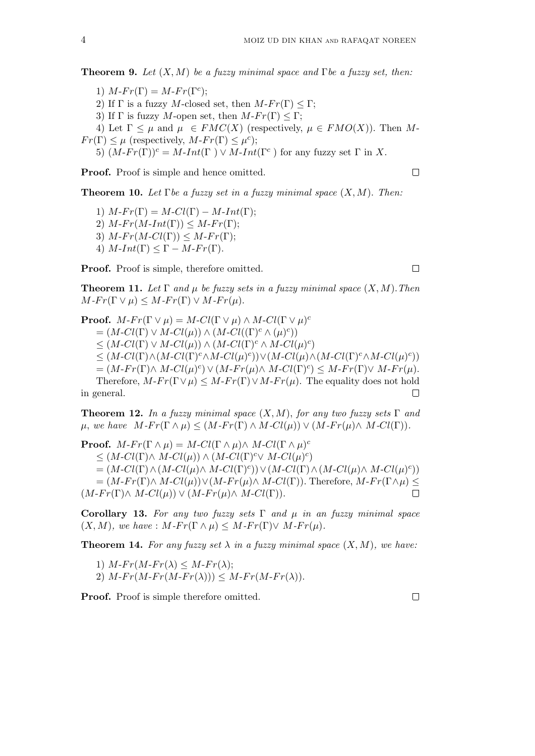**Theorem 9.** *Let* (*X, M*) *be a fuzzy minimal space and* Γ*be a fuzzy set, then:*

1)  $M$ *-Fr*( $\Gamma$ ) =  $M$ *-Fr*( $\Gamma$ <sup>c</sup>); 2) If  $\Gamma$  is a fuzzy *M*-closed set, then  $M-Fr(\Gamma) \leq \Gamma$ ; 3) If  $\Gamma$  is fuzzy *M*-open set, then  $M-Fr(\Gamma) \leq \Gamma$ ; 4) Let  $\Gamma \leq \mu$  and  $\mu \in FMC(X)$  (respectively,  $\mu \in FMO(X)$ ). Then M- $Fr(\Gamma) \leq \mu$  (respectively,  $M$ - $Fr(\Gamma) \leq \mu^{c}$ ); 5)  $(M-Fr(\Gamma))^c = M\text{-}Int(\Gamma) \vee M\text{-}Int(\Gamma^c)$  for any fuzzy set  $\Gamma$  in X.

**Proof.** Proof is simple and hence omitted.

**Theorem 10.** *Let* Γ*be a fuzzy set in a fuzzy minimal space* (*X, M*)*. Then:*

1)  $M$ *-Fr*(Γ) =  $M$ *-Cl*(Γ) –  $M$ *-Int*(Γ); 2)  $M\text{-}Fr(M\text{-}Int(\Gamma)) \leq M\text{-}Fr(\Gamma);$ 3)  $M\text{-}Fr(M\text{-}Cl(\Gamma)) \leq M\text{-}Fr(\Gamma);$ 4)  $M\text{-}Int(\Gamma) \leq \Gamma - M\text{-}Fr(\Gamma).$ 

**Proof.** Proof is simple, therefore omitted.

**Theorem 11.** Let  $\Gamma$  and  $\mu$  be fuzzy sets in a fuzzy minimal space  $(X, M)$ . Then  $M$ *-Fr*( $\Gamma \lor \mu$ )  $\leq M$ *-Fr*( $\Gamma$ )  $\lor M$ *-Fr*( $\mu$ )*.* 

**Proof.**  $M$ - $Fr(\Gamma \vee \mu) = M$ - $Cl(\Gamma \vee \mu) \wedge M$ - $Cl(\Gamma \vee \mu)^c$  $= (M\text{-}Cl(\Gamma) \vee M\text{-}Cl(\mu)) \wedge (M\text{-}Cl((\Gamma)^c \wedge (\mu)^c))$  $\leq$  (*M*-*Cl*(Γ) *∨ M*-*Cl*( $\mu$ )) *∧* (*M*-*Cl*(Γ)<sup>*c*</sup> *∧ M*-*Cl*( $\mu$ )<sup>*c*</sup>)  $\leq (M\text{-}Cl(\Gamma)\wedge(M\text{-}Cl(\Gamma)^c\wedge M\text{-}Cl(\mu)^c))\vee(M\text{-}Cl(\mu)\wedge(M\text{-}Cl(\Gamma)^c\wedge M\text{-}Cl(\mu)^c))$  $= (M-Fr(\Gamma) \wedge M\text{-}Cl(\mu)^c) \vee (M-Fr(\mu) \wedge M\text{-}Cl(\Gamma)^c) \leq M-Fr(\Gamma) \vee M-Fr(\mu).$ Therefore,  $M$ - $Fr(\Gamma \vee \mu) \leq M$ - $Fr(\Gamma) \vee M$ - $Fr(\mu)$ . The equality does not hold in general.  $\Box$ 

**Theorem 12.** *In a fuzzy minimal space*  $(X, M)$ *, for any two fuzzy sets*  $\Gamma$  *and*  $\mu$ , we have  $M-Fr(\Gamma \wedge \mu) \leq (M-Fr(\Gamma) \wedge M-Cl(\mu)) \vee (M-Fr(\mu) \wedge M-Cl(\Gamma)).$ 

**Proof.**  $M$ - $Fr(\Gamma \wedge \mu) = M$ - $Cl(\Gamma \wedge \mu) \wedge M$ - $Cl(\Gamma \wedge \mu)^c$  $\leq$  (*M*-*Cl*(Γ)∧ *M*-*Cl*( $\mu$ )) ∧ (*M*-*Cl*(Γ)<sup>*c*</sup>∨ *M*-*Cl*( $\mu$ )<sup>*c*</sup>)  $= (M\text{-}Cl(\Gamma) \land (M\text{-}Cl(\mu) \land M\text{-}Cl(\Gamma)^c)) \lor (M\text{-}Cl(\Gamma) \land (M\text{-}Cl(\mu) \land M\text{-}Cl(\mu)^c))$  $=(M-Fr(\Gamma) \wedge M\text{-}Cl(\mu)) \vee (M-Fr(\mu) \wedge M\text{-}Cl(\Gamma))$ . Therefore,  $M-Fr(\Gamma \wedge \mu) \leq$  $(M-Fr(\Gamma) \wedge M\text{-}Cl(\mu)) \vee (M-Fr(\mu) \wedge M\text{-}Cl(\Gamma)).$  $\Box$ 

**Corollary 13.** *For any two fuzzy sets* Γ *and µ in an fuzzy minimal space*  $(X, M)$ *, we have* :  $M$ *-Fr*( $\Gamma \wedge \mu$ )  $\leq M$ *-Fr*( $\Gamma$ ) $\vee$   $M$ *-Fr*( $\mu$ )*.* 

**Theorem 14.** For any fuzzy set  $\lambda$  in a fuzzy minimal space  $(X, M)$ , we have:

1)  $M-Fr(M-Fr(\lambda)) \leq M-Fr(\lambda);$ 2)  $M-Fr(M-Fr(M-Fr(\lambda))) \leq M-Fr(M-Fr(\lambda)).$ 

**Proof.** Proof is simple therefore omitted.

 $\Box$ 

 $\Box$ 

 $\Box$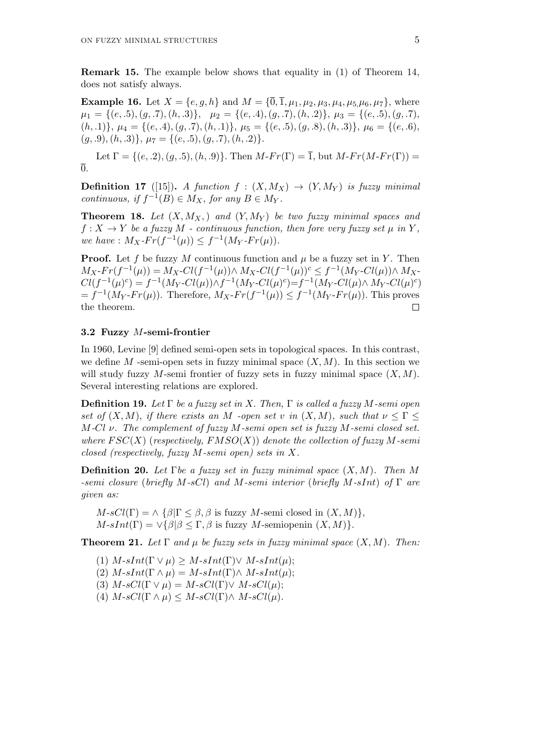**Remark 15.** The example below shows that equality in (1) of Theorem 14, does not satisfy always.

**Example 16.** Let  $X = \{e, g, h\}$  and  $M = \{\overline{0}, \overline{1}, \mu_1, \mu_2, \mu_3, \mu_4, \mu_5, \mu_6, \mu_7\}$ , where  $\mu_1 = \{(e, .5), (g, .7), (h, .3)\}, \quad \mu_2 = \{(e, .4), (g, .7), (h, .2)\}, \mu_3 = \{(e, .5), (g, .7),\}$  $(h, .1)$ ,  $\mu_4 = \{(e, .4), (g, .7), (h, .1)\}, \mu_5 = \{(e, .5), (g, .8), (h, .3)\}, \mu_6 = \{(e, .6), (h, .3)\}$ (*g, .*9)*,*(*h, .*3)*}, µ*<sup>7</sup> = *{*(*e, .*5)*,*(*g, .*7)*,*(*h, .*2)*}.*

Let  $\Gamma = \{(e, 2), (g, .5), (h, .9)\}$ *.* Then  $M$ - $Fr(\Gamma) = \overline{1}$ , but  $M$ - $Fr(M$ - $Fr(\Gamma)) =$  $\overline{0}$ .

**Definition 17** ([15]). *A function*  $f : (X, M_X) \rightarrow (Y, M_Y)$  *is fuzzy minimal continuous, if*  $f^{-1}(B) \in M_X$ *, for any*  $B \in M_Y$ *.* 

**Theorem 18.** Let  $(X, M_X)$  and  $(Y, M_Y)$  be two fuzzy minimal spaces and  $f: X \to Y$  *be a fuzzy*  $M$  *- continuous function, then fore very fuzzy set*  $\mu$  *in*  $Y$ ,  $we have: M_X-Fr(f^{-1}(\mu)) \leq f^{-1}(M_Y-Fr(\mu)).$ 

**Proof.** Let *f* be fuzzy *M* continuous function and  $\mu$  be a fuzzy set in *Y*. Then  $M_X$ - $Fr(f^{-1}(\mu)) = M_X$ - $Cl(f^{-1}(\mu)) \wedge M_X$ - $Cl(f^{-1}(\mu))$ <sup>c</sup>  $\leq f^{-1}(M_Y\text{-}Cl(\mu)) \wedge M_X$ - $Cl(f^{-1}(\mu)^c) = f^{-1}(M_Y \text{-} Cl(\mu)) \wedge f^{-1}(M_Y \text{-} Cl(\mu)^c) = f^{-1}(M_Y \text{-} Cl(\mu) \wedge M_Y \text{-} Cl(\mu)^c)$  $f^{-1}(M_Y - Fr(\mu))$ . Therefore,  $M_X - Fr(f^{-1}(\mu)) \leq f^{-1}(M_Y - Fr(\mu))$ . This proves the theorem.  $\Box$ 

## **3.2 Fuzzy** *M***-semi-frontier**

In 1960, Levine [9] defined semi-open sets in topological spaces. In this contrast, we define  $M$  -semi-open sets in fuzzy minimal space  $(X, M)$ . In this section we will study fuzzy  $M$ -semi frontier of fuzzy sets in fuzzy minimal space  $(X, M)$ . Several interesting relations are explored.

**Definition 19.** *Let* Γ *be a fuzzy set in X. Then,* Γ *is called a fuzzy M-semi open set of*  $(X, M)$ *, if there exists an*  $M$  *-open set v in*  $(X, M)$ *, such that*  $\nu \leq \Gamma \leq$ *M-Cl ν. The complement of fuzzy M-semi open set is fuzzy M-semi closed set. where F SC*(*X*) (*respectively, FMSO*(*X*)) *denote the collection of fuzzy M-semi closed (respectively, fuzzy M-semi open) sets in X.*

**Definition 20.** *Let* Γ*be a fuzzy set in fuzzy minimal space* (*X, M*)*. Then M -semi closure* (*briefly M-sCl*) *and M-semi interior* (*briefly M-sInt*) *of* Γ *are given as:*

 $M$ -*sCl*( $\Gamma$ ) =  $\wedge$  { $\beta|\Gamma \leq \beta, \beta$  is fuzzy  $M$ -semi closed in  $(X, M)$ },  $M$ - $sInt(\Gamma) = \vee \{\beta | \beta \leq \Gamma, \beta \text{ is fuzzy } M \text{-semiopenin } (X, M)\}.$ 

**Theorem 21.** Let  $\Gamma$  and  $\mu$  be fuzzy sets in fuzzy minimal space  $(X, M)$ . Then:

 $(1)$   $M\text{-}sInt(\Gamma \vee \mu) \geq M\text{-}sInt(\Gamma) \vee M\text{-}sInt(\mu);$  $(2)$   $M\text{-}sInt(\Gamma \wedge \mu) = M\text{-}sInt(\Gamma) \wedge M\text{-}sInt(\mu);$ (3)  $M$ - $sCl(\Gamma \vee \mu) = M$ - $sCl(\Gamma) \vee M$ - $sCl(\mu);$ (4)  $M$ *-sCl*(Γ $\wedge$   $\mu$ )  $\leq M$ *-sCl*(Γ) $\wedge$   $M$ *-sCl*( $\mu$ ).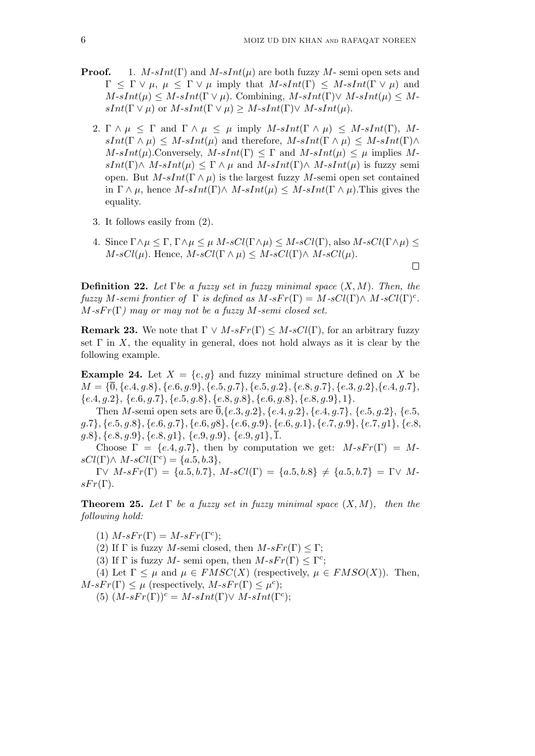$\Box$ 

- **Proof.** 1. *M*-*sInt*( $\Gamma$ ) and *M*-*sInt*( $\mu$ ) are both fuzzy *M* semi open sets and  $\Gamma$  *<*  $\Gamma$   $\vee$  *µ,*  $\mu$  *<i><*  $\Gamma$   $\vee$  *µ* imply that  $M\text{-}sInt(\Gamma)$  *<*  $M\text{-}sInt(\Gamma \vee \mu)$  and  $M\text{-}sInt(\mu) \leq M\text{-}sInt(\Gamma \vee \mu)$ . Combining,  $M\text{-}sInt(\Gamma) \vee M\text{-}sInt(\mu) \leq M\text{-}sInt(\mu)$  $sInt(\Gamma \vee \mu)$  or  $M\text{-}sInt(\Gamma \vee \mu) \geq M\text{-}sInt(\Gamma) \vee M\text{-}sInt(\mu)$ .
	- 2.  $\Gamma \wedge \mu \leq \Gamma$  and  $\Gamma \wedge \mu \leq \mu$  imply  $M\text{-}sInt(\Gamma \wedge \mu) \leq M\text{-}sInt(\Gamma), M\text{-}$  $sInt(\Gamma \wedge \mu) \leq M \cdot sInt(\mu)$  and therefore,  $M \cdot sInt(\Gamma \wedge \mu) \leq M \cdot sInt(\Gamma) \wedge$  $M\text{-}sInt(\mu)$ . Conversely,  $M\text{-}sInt(\Gamma) \leq \Gamma$  and  $M\text{-}sInt(\mu) \leq \mu$  implies M $sInt(\Gamma) \wedge M \cdot sInt(\mu) \leq \Gamma \wedge \mu$  and  $M \cdot sInt(\Gamma) \wedge M \cdot sInt(\mu)$  is fuzzy semi open. But  $M$ - $sInt(\Gamma \wedge \mu)$  is the largest fuzzy  $M$ -semi open set contained in  $\Gamma \wedge \mu$ , hence  $M\text{-}sInt(\Gamma) \wedge M\text{-}sInt(\mu) \leq M\text{-}sInt(\Gamma \wedge \mu)$ . This gives the equality.
	- 3. It follows easily from (2)*.*
	- 4. Since  $\Gamma \wedge \mu \leq \Gamma$ ,  $\Gamma \wedge \mu \leq \mu$  *M*-*sCl*( $\Gamma \wedge \mu$ )  $\leq M$ -*sCl*( $\Gamma \wedge \mu$ )  $\leq$  $M$ -*sCl*( $\mu$ ). Hence,  $M$ -*sCl*( $\Gamma \wedge \mu$ )  $\leq M$ -*sCl*( $\Gamma$ ) $\wedge M$ -*sCl*( $\mu$ ).

**Definition 22.** *Let* Γ*be a fuzzy set in fuzzy minimal space* (*X, M*)*. Then, the fuzzy M-semi frontier of*  $\Gamma$  *is defined as*  $M$ *-sFr*( $\Gamma$ ) =  $M$ *-sCl*( $\Gamma$ ) $\land$   $M$ *-sCl*( $\Gamma$ )<sup>*c*</sup>.  $M$ *-sFr*( $\Gamma$ ) may or may not be a fuzzy  $M$ *-semi closed set.* 

**Remark 23.** We note that  $\Gamma \lor M \text{-} sF r(\Gamma) \leq M \text{-} sCl(\Gamma)$ , for an arbitrary fuzzy set  $\Gamma$  in *X*, the equality in general, does not hold always as it is clear by the following example.

**Example 24.** Let  $X = \{e, q\}$  and fuzzy minimal structure defined on X be  $M = \{\overline{0}, \{e.4, g.8\}, \{e.6, g.9\}, \{e.5, g.7\}, \{e.5, g.2\}, \{e.8, g.7\}, \{e.3, g.2\}, \{e.4, g.7\},\$  ${e.4, g.2}, {e.6, g.7}, {e.5, g.8}, {e.8, g.8}, {e.6, g.8}, {e.8, g.9}, 1}.$ 

Then M-semi open sets are  $\overline{0}$ , {e.3, g.2}, {e.4, g.2}, {e.4, g.7}, {e.5, g.2}, {e.5,  $g.7\}, \{e.5, g.8\}, \{e.6, g.7\}, \{e.6, g.8\}, \{e.6, g.9\}, \{e.6, g.1\}, \{e.7, g.9\}, \{e.7, g.1\}, \{e.8, g.9\}$ *g.*8*}, {e.*8*, g.*9*}, {e.*8*, g*1*}, {e.*9*, g.*9*}, {e.*9*, g*1*},* 1*.*

Choose  $\Gamma = \{e.4, g.7\}$ , then by computation we get:  $M \cdot sF r(\Gamma) = M$  $sCl(\Gamma) \wedge M \cdot sCl(\Gamma^c) = \{a.5, b.3\},\$ 

 $Γ∨ M-sFr(Γ) = {a.5, b.7}$ *, M-sCl*(Γ) =  ${a.5, b.8} ≠ {a.5, b.7} = Γ∨ M$  $sFr(\Gamma)$ .

**Theorem 25.** Let  $\Gamma$  be a fuzzy set in fuzzy minimal space  $(X, M)$ , then the *following hold:*

- (1)  $M$ - $sFr(\Gamma) = M$ - $sFr(\Gamma^c)$ ;
- (2) If  $\Gamma$  is fuzzy *M*-semi closed, then  $M$ - $sFr(\Gamma) \leq \Gamma$ ;
- (3) If  $\Gamma$  is fuzzy *M* semi open, then  $M \text{-} sF r(\Gamma) \leq \Gamma^c$ ;

(4) Let  $\Gamma \leq \mu$  and  $\mu \in FMSC(X)$  (respectively,  $\mu \in FMSO(X)$ ). Then,  $M$ -*sFr*(Γ)  $\leq \mu$  (respectively,  $M$ -*sFr*(Γ)  $\leq \mu^c$ );

(5)  $(M \text{-} sFr(\Gamma))^c = M \text{-} sInt(\Gamma) \vee M \text{-} sInt(\Gamma^c);$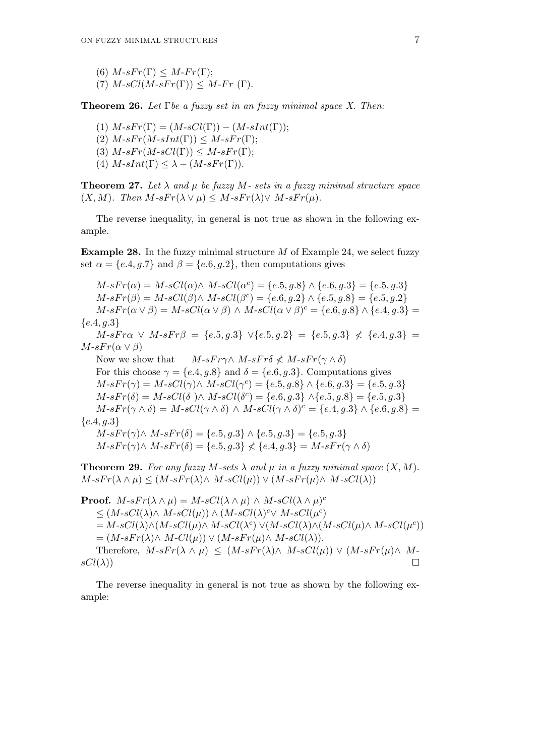(6)  $M$ - $sFr(\Gamma) \leq M$ - $Fr(\Gamma)$ ; (7)  $M$ - $sCl(M$ - $sFr(\Gamma))$   $\leq M$ - $Fr(\Gamma)$ .

**Theorem 26.** *Let* Γ*be a fuzzy set in an fuzzy minimal space X. Then:*

(1)  $M\text{-}sFr(\Gamma) = (M\text{-}sCl(\Gamma)) - (M\text{-}sInt(\Gamma));$  $(2)$  *M*-*sFr*(*M*-*sInt*(Γ))  $\leq$  *M*-*sFr*(Γ); (3)  $M$ - $sFr(M$ - $sCl(\Gamma)) \leq M$ - $sFr(\Gamma)$ ; (4)  $M\text{-}sInt(\Gamma) \leq \lambda - (M\text{-}sFr(\Gamma)).$ 

**Theorem 27.** Let  $\lambda$  and  $\mu$  be fuzzy  $M$ - sets in a fuzzy minimal structure space  $(X, M)$ *. Then*  $M \text{-} sF r(\lambda) \vee \mu$   $\leq M \text{-} sF r(\lambda) \vee M \text{-} sF r(\mu)$ .

The reverse inequality, in general is not true as shown in the following example.

**Example 28.** In the fuzzy minimal structure *M* of Example 24, we select fuzzy set  $\alpha = \{e.4, g.7\}$  and  $\beta = \{e.6, g.2\}$ , then computations gives

 $M \cdot sFr(\alpha) = M \cdot sCl(\alpha) \wedge M \cdot sCl(\alpha^c) = \{e.5, g.8\} \wedge \{e.6, g.3\} = \{e.5, g.3\}$  $M \cdot sFr(\beta) = M \cdot sCl(\beta) \wedge M \cdot sCl(\beta^c) = \{e.6, g.2\} \wedge \{e.5, g.8\} = \{e.5, g.2\}$  $M \cdot sFr(\alpha \vee \beta) = M \cdot sCl(\alpha \vee \beta) \wedge M \cdot sCl(\alpha \vee \beta)^c = \{e.6, g.8\} \wedge \{e.4, g.3\} =$ *{e.*4*, g.*3*} M*-*sFrα ∨ M*-*sFrβ* = {*e.*5*, g.*3}  $\lor$ {*e.*5*, g.*2} = {*e.*5*, g.*3} ≮ {*e.*4*, g.*3} =  $M$ *-sFr*( $\alpha \vee \beta$ ) Now we show that  $M-sF r\gamma \wedge M-sF r\delta \nless M-sF r(\gamma \wedge \delta)$ For this choose  $\gamma = \{e.4, g.8\}$  and  $\delta = \{e.6, g.3\}$ . Computations gives  $M \cdot sFr(\gamma) = M \cdot sCl(\gamma) \wedge M \cdot sCl(\gamma^c) = \{e.5, g.8\} \wedge \{e.6, g.3\} = \{e.5, g.3\}$  $M \cdot sFr(\delta) = M \cdot sCl(\delta) \wedge M \cdot sCl(\delta^c) = \{e.6, g.3\} \wedge \{e.5, g.8\} = \{e.5, g.3\}$  $M \cdot sFr(\gamma \wedge \delta) = M \cdot sCl(\gamma \wedge \delta) \wedge M \cdot sCl(\gamma \wedge \delta)^c = \{e.4, g.3\} \wedge \{e.6, g.8\}$ *{e.*4*, g.*3*}*  $M$ -*sFr*( $\gamma$ ) $\land$   $M$ -*sFr*( $\delta$ ) = {*e.*5*, g.*3}  $\land$  {*e.*5*, g.*3} = {*e.*5*, g.*3}  $M$ -*sFr*( $\gamma$ ) $\land$   $M$ -*sFr*( $\delta$ ) = { $e.5, g.3$ }  $\leq$  { $e.4, g.3$ } =  $M$ -*sFr*( $\gamma \land \delta$ )

**Theorem 29.** For any fuzzy  $M$ -sets  $\lambda$  and  $\mu$  in a fuzzy minimal space  $(X, M)$ .  $M-sFr(\lambda \wedge \mu) \leq (M-sFr(\lambda) \wedge M-sCl(\mu)) \vee (M-sFr(\mu) \wedge M-sCl(\lambda))$ 

**Proof.**  $M$ - $sFr(\lambda \wedge \mu) = M$ - $sCl(\lambda \wedge \mu) \wedge M$ - $sCl(\lambda \wedge \mu)^c$  $\leq$  (*M*-*sCl*( $λ$ )*∧ M*-*sCl*( $μ$ )) *∧* (*M*-*sCl*( $λ$ )<sup>*c*</sup> $∨$  *M*-*sCl*( $μ$ <sup>*c*</sup>) =  $M$ -sCl( $\lambda$ ) $\wedge$ ( $M$ -sCl( $\mu$ ) $\wedge$   $M$ -sCl( $\lambda$ <sup>c</sup>) $\vee$ ( $M$ -sCl( $\lambda$ ) $\wedge$ ( $M$ -sCl( $\mu$ ) $\wedge$   $M$ -sCl( $\mu$ <sup>c</sup>))  $= (M-sFr(\lambda) \wedge M-Cl(\mu)) \vee (M-sFr(\mu) \wedge M-sCl(\lambda)).$ Therefore,  $M \text{-} sF r(\lambda \wedge \mu) \leq (M \text{-} sF r(\lambda) \wedge M \text{-} sC l(\mu)) \vee (M \text{-} sF r(\mu) \wedge M \text{-} sF r(\mu)$  $sCl(\lambda)$  $\Box$ 

The reverse inequality in general is not true as shown by the following example: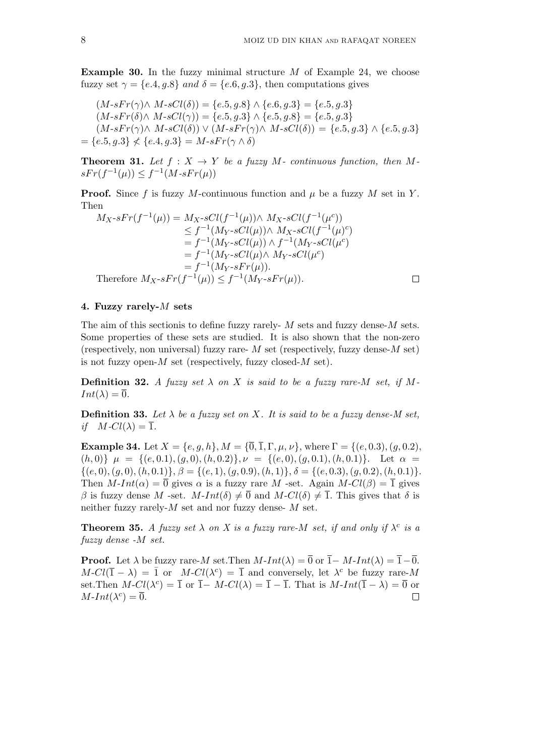**Example 30.** In the fuzzy minimal structure *M* of Example 24, we choose fuzzy set  $\gamma = \{e.4, q.8\}$  *and*  $\delta = \{e.6, q.3\}$ , then computations gives

$$
(M \cdot sFr(\gamma) \land M \cdot sCl(\delta)) = \{e.5, g.8\} \land \{e.6, g.3\} = \{e.5, g.3\}
$$
  
\n
$$
(M \cdot sFr(\delta) \land M \cdot sCl(\gamma)) = \{e.5, g.3\} \land \{e.5, g.8\} = \{e.5, g.3\}
$$
  
\n
$$
(M \cdot sFr(\gamma) \land M \cdot sCl(\delta)) \lor (M \cdot sFr(\gamma) \land M \cdot sCl(\delta)) = \{e.5, g.3\} \land \{e.5, g.3\}
$$
  
\n
$$
= \{e.5, g.3\} \nless \{e.4, g.3\} = M \cdot sFr(\gamma \land \delta)
$$

**Theorem 31.** Let  $f: X \to Y$  be a fuzzy  $M$ - continuous function, then  $M$ *sFr*( $f^{-1}(\mu)$ ) ≤  $f^{-1}(M$ -*sFr*( $\mu$ ))

**Proof.** Since f is fuzzy M-continuous function and  $\mu$  be a fuzzy M set in Y. Then

$$
M_{X} \cdot sFr(f^{-1}(\mu)) = M_{X} \cdot sCl(f^{-1}(\mu)) \wedge M_{X} \cdot sCl(f^{-1}(\mu^{c}))
$$
  
\n
$$
\leq f^{-1}(M_{Y} \cdot sCl(\mu)) \wedge M_{X} \cdot sCl(f^{-1}(\mu^{c}))
$$
  
\n
$$
= f^{-1}(M_{Y} \cdot sCl(\mu)) \wedge f^{-1}(M_{Y} \cdot sCl(\mu^{c}))
$$
  
\n
$$
= f^{-1}(M_{Y} \cdot sCl(\mu) \wedge M_{Y} \cdot sCl(\mu^{c})
$$
  
\n
$$
= f^{-1}(M_{Y} \cdot sFr(\mu)).
$$
  
\nTherefore  $M_{X} \cdot sFr(f^{-1}(\mu)) \leq f^{-1}(M_{Y} \cdot sFr(\mu)).$ 

#### **4. Fuzzy rarely-***M* **sets**

The aim of this sectionis to define fuzzy rarely- *M* sets and fuzzy dense-*M* sets. Some properties of these sets are studied. It is also shown that the non-zero (respectively, non universal) fuzzy rare- *M* set (respectively, fuzzy dense-*M* set) is not fuzzy open-*M* set (respectively, fuzzy closed-*M* set).

**Definition 32.** *A fuzzy set*  $\lambda$  *on*  $X$  *is said to be a fuzzy rare-M set, if*  $M$ - $Int(\lambda) = \overline{0}.$ 

**Definition 33.** Let  $\lambda$  be a fuzzy set on X. It is said to be a fuzzy dense-M set, *if*  $M$ *-Cl*( $\lambda$ ) =  $\overline{1}$ *.* 

**Example 34.** Let  $X = \{e, g, h\}$ ,  $M = \{\overline{0}, \overline{1}, \Gamma, \mu, \nu\}$ , where  $\Gamma = \{(e, 0.3), (g, 0.2),\}$  $\{(h,0)\}\mu = \{(e,0.1), (g,0), (h,0.2)\}\mu = \{(e,0), (g,0.1), (h,0.1)\}\.$  Let  $\alpha =$  $\{(e,0),(g,0),(h,0.1)\},\ \beta=\{(e,1),(g,0.9),(h,1)\},\ \delta=\{(e,0.3),(g,0.2),(h,0.1)\}.$ Then  $M$ - $Int(\alpha) = \overline{0}$  gives  $\alpha$  is a fuzzy rare  $M$  -set. Again  $M$ - $Cl(\beta) = \overline{1}$  gives *β* is fuzzy dense *M* -set. *M*-*Int*( $\delta$ )  $\neq$  0 and *M*-*Cl*( $\delta$ )  $\neq$  1. This gives that  $\delta$  is neither fuzzy rarely-*M* set and nor fuzzy dense- *M* set.

**Theorem 35.** *A fuzzy set*  $\lambda$  *on*  $X$  *is a fuzzy rare-M set, if and only if*  $\lambda^c$  *is a fuzzy dense -M set.*

**Proof.** Let  $\lambda$  be fuzzy rare-*M* set. Then  $M$ -*Int*( $\lambda$ ) =  $\overline{0}$  or  $\overline{1}$ - $M$ -*Int*( $\lambda$ ) =  $\overline{1}$ - $\overline{0}$ .  $M$ - $Cl(\overline{1} - \lambda) = \overline{1}$  or  $M$ - $Cl(\lambda^c) = \overline{1}$  and conversely, let  $\lambda^c$  be fuzzy rare-*M* set.Then  $M$ - $Cl(\lambda^c) = \overline{1}$  or  $\overline{1} - M$ - $Cl(\lambda) = \overline{1} - \overline{1}$ . That is  $M$ - $Int(\overline{1} - \lambda) = \overline{0}$  or  $M$ *-Int*( $\lambda^c$ ) =  $\overline{0}$ .  $\Box$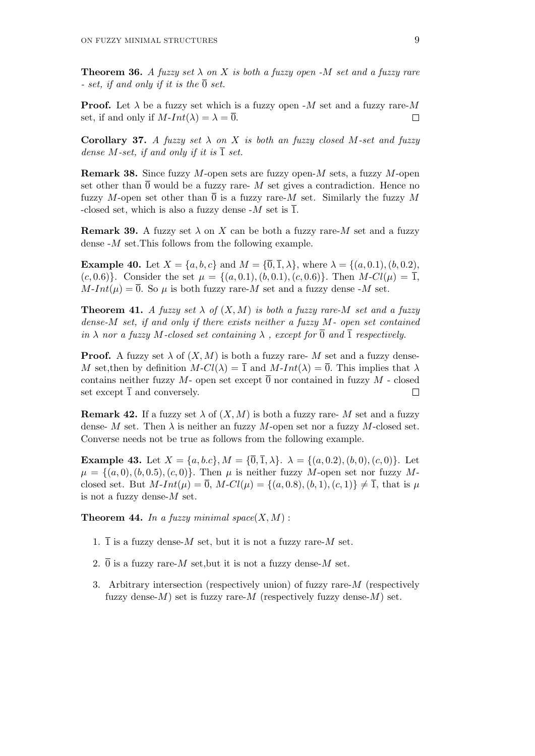**Theorem 36.** *A fuzzy set*  $\lambda$  *on*  $X$  *is both a fuzzy open -* $M$  *set and a fuzzy rare - set, if and only if it is the*  $\overline{0}$  *set.* 

**Proof.** Let  $\lambda$  be a fuzzy set which is a fuzzy open -*M* set and a fuzzy rare-*M* set, if and only if  $M$ - $Int(\lambda) = \lambda = \overline{0}$ .  $\Box$ 

**Corollary 37.** *A fuzzy set*  $\lambda$  *on*  $X$  *is both an fuzzy closed*  $M$ *-set and fuzzy dense*  $M$ *-set, if and only if it is*  $\overline{1}$  *set.* 

**Remark 38.** Since fuzzy *M*-open sets are fuzzy open-*M* sets, a fuzzy *M*-open set other than  $\overline{0}$  would be a fuzzy rare- M set gives a contradiction. Hence no fuzzy *M*-open set other than  $\overline{0}$  is a fuzzy rare-*M* set. Similarly the fuzzy *M* -closed set, which is also a fuzzy dense  $-M$  set is  $\overline{1}$ .

**Remark 39.** A fuzzy set  $\lambda$  on X can be both a fuzzy rare- $M$  set and a fuzzy dense -*M* set.This follows from the following example.

**Example 40.** Let  $X = \{a, b, c\}$  and  $M = \{\overline{0}, \overline{1}, \lambda\}$ , where  $\lambda = \{(a, 0.1), (b, 0.2),$ (*c,* 0*.*6)<sup>}</sup>. Consider the set  $\mu = \{(a, 0.1), (b, 0.1), (c, 0.6)\}$ . Then  $M\text{-}Cl(\mu) = \overline{1}$ ,  $M\text{-}Int(\mu) = \overline{0}$ . So  $\mu$  is both fuzzy rare-*M* set and a fuzzy dense -*M* set.

**Theorem 41.** *A fuzzy set*  $\lambda$  *of*  $(X, M)$  *is both a fuzzy rare-M set and a fuzzy dense-M set, if and only if there exists neither a fuzzy M- open set contained in*  $\lambda$  *nor a fuzzy M*-closed set containing  $\lambda$ , except for  $\overline{0}$  and  $\overline{1}$  respectively.

**Proof.** A fuzzy set  $\lambda$  of  $(X, M)$  is both a fuzzy rare- M set and a fuzzy dense-*M* set, then by definition  $M - Cl(\lambda) = \overline{1}$  and  $M - Int(\lambda) = \overline{0}$ . This implies that  $\lambda$ contains neither fuzzy  $M$ - open set except  $\overline{0}$  nor contained in fuzzy  $M$ - closed set except  $\overline{1}$  and conversely.  $\Box$ 

**Remark 42.** If a fuzzy set  $\lambda$  of  $(X, M)$  is both a fuzzy rare- M set and a fuzzy dense- *M* set. Then  $\lambda$  is neither an fuzzy *M*-open set nor a fuzzy *M*-closed set. Converse needs not be true as follows from the following example.

**Example 43.** Let  $X = \{a, b, c\}$ ,  $M = \{\overline{0}, \overline{1}, \lambda\}$ .  $\lambda = \{(a, 0.2), (b, 0), (c, 0)\}$ . Let  $\mu = \{(a, 0), (b, 0.5), (c, 0)\}$ . Then  $\mu$  is neither fuzzy *M*-open set nor fuzzy *M*closed set. But  $M$ -*Int*( $\mu$ ) =  $\overline{0}$ ,  $M$ - $Cl(\mu) = \{(a, 0.8), (b, 1), (c, 1)\}\neq \overline{1}$ , that is  $\mu$ is not a fuzzy dense-*M* set.

**Theorem 44.** In a fuzzy minimal space $(X, M)$ :

- 1.  $\overline{1}$  is a fuzzy dense-*M* set, but it is not a fuzzy rare-*M* set.
- 2.  $\overline{0}$  is a fuzzy rare-*M* set, but it is not a fuzzy dense-*M* set.
- 3. Arbitrary intersection (respectively union) of fuzzy rare-*M* (respectively fuzzy dense- $M$ ) set is fuzzy rare- $M$  (respectively fuzzy dense- $M$ ) set.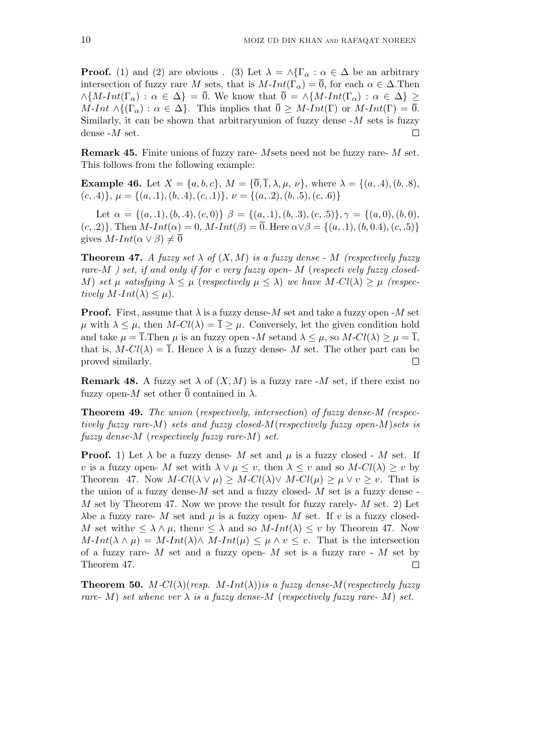**Proof.** (1) and (2) are obvious . (3) Let  $\lambda = \wedge \{\Gamma_{\alpha} : \alpha \in \Delta \}$  be an arbitrary intersection of fuzzy rare *M* sets, that is  $M$ - $Int(\Gamma_\alpha) = \overline{0}$ , for each  $\alpha \in \Delta$ . Then  $\wedge$ {*M*-*Int*(Γ<sub>α</sub>) :  $\alpha \in \Delta$ } = 0*.* We know that  $\overline{0} = \wedge$ {*M*-*Int*(Γ<sub>α</sub>) :  $\alpha \in \Delta$ } ≥  $M$ -*Int*  $\wedge$ { $(\Gamma_{\alpha})$  :  $\alpha \in \Delta$ }. This implies that  $\overline{0} \geq M$ -*Int*(Γ) or  $M$ -*Int*(Γ) =  $\overline{0}$ *.* Similarly, it can be shown that arbitraryunion of fuzzy dense -*M* sets is fuzzy dense -*M* set.  $\Box$ 

**Remark 45.** Finite unions of fuzzy rare- *M*sets need not be fuzzy rare- *M* set. This follows from the following example:

**Example 46.** Let  $X = \{a, b, c\}$ ,  $M = \{\overline{0}, \overline{1}, \lambda, \mu, \nu\}$ , where  $\lambda = \{(a, .4), (b, .8),$ (*c, .*4)*}, µ* = *{*(*a, .*1)*,*(*b, .*4)*,*(*c, .*1)*}, ν* = *{*(*a, .*2)*,*(*b, .*5)*,*(*c, .*6)*}*

Let  $\alpha = \{(a, 1), (b, 4), (c, 0)\}\ \beta = \{(a, 1), (b, 3), (c, 5)\}\ \gamma = \{(a, 0), (b, 0),$  $(c, 2)$ . Then  $M\text{-}Int(\alpha) = 0$ ,  $M\text{-}Int(\beta) = \overline{0}$ . Here  $\alpha \vee \beta = \{(a, 1), (b, 0.4), (c, 0.5)\}$ gives  $M$ *-Int*( $\alpha \vee \beta$ )  $\neq 0$ 

**Theorem 47.** *A fuzzy set*  $\lambda$  *of*  $(X, M)$  *is a fuzzy dense* - *M (respectively fuzzy rare-M ) set, if and only if for e very fuzzy open- M* (*respecti vely fuzzy closed-M*) *set*  $\mu$  *satisfying*  $\lambda \leq \mu$  (*respectively*  $\mu \leq \lambda$ ) *we have*  $M$ *-Cl*( $\lambda$ )  $> \mu$  (*respectively*  $M$ *-Int*( $\lambda$ )  $\lt$   $\mu$ ).

**Proof.** First, assume that  $\lambda$  is a fuzzy dense-*M* set and take a fuzzy open -*M* set  $\mu$  with  $\lambda \leq \mu$ , then  $M$ - $Cl(\lambda) = \overline{1} > \mu$ . Conversely, let the given condition hold and take  $\mu = \overline{1}$ . Then  $\mu$  is an fuzzy open -*M* setand  $\lambda \leq \mu$ , so  $M$ - $Cl(\lambda) \geq \mu = \overline{1}$ , that is,  $M$ - $Cl(\lambda) = \overline{1}$ . Hence  $\lambda$  is a fuzzy dense- M set. The other part can be  $\Box$ proved similarly.

**Remark 48.** A fuzzy set  $\lambda$  of  $(X, M)$  is a fuzzy rare -*M* set, if there exist no fuzzy open-*M* set other  $\overline{0}$  contained in  $\lambda$ .

**Theorem 49.** *The union* (*respectively, intersection*) *of fuzzy dense-M (respectively fuzzy rare-M*) *sets and fuzzy closed-M*(*respectively fuzzy open-M*)*sets is fuzzy dense-M* (*respectively fuzzy rare-M*) *set.*

**Proof.** 1) Let  $\lambda$  be a fuzzy dense- M set and  $\mu$  is a fuzzy closed - M set. If *v* is a fuzzy open- *M* set with  $\lambda \lor \mu \leq v$ , then  $\lambda \leq v$  and so  $M\text{-}Cl(\lambda) \geq v$  by Theorem 47. Now  $M$ - $Cl(\lambda \vee \mu) \geq M$ - $Cl(\lambda) \vee M$ - $Cl(\mu) \geq \mu \vee \nu \geq \nu$ . That is the union of a fuzzy dense- $M$  set and a fuzzy closed-  $M$  set is a fuzzy dense-*M* set by Theorem 47. Now we prove the result for fuzzy rarely- *M* set. 2) Let *λ*be a fuzzy rare- *M* set and *μ* is a fuzzy open- *M* set. If *v* is a fuzzy closed-*M* set with $v \le \lambda \wedge \mu$ , then  $v \le \lambda$  and so  $M$ -*Int*( $\lambda$ )  $\le v$  by Theorem 47. Now  $M\text{-}Int(\lambda \wedge \mu) = M\text{-}Int(\lambda) \wedge M\text{-}Int(\mu) \leq \mu \wedge v \leq v$ . That is the intersection of a fuzzy rare- *M* set and a fuzzy open- *M* set is a fuzzy rare - *M* set by Theorem 47.  $\Box$ 

**Theorem 50.** *M*- $Cl(\lambda)(resp. M\text{-}Int(\lambda))$ *is a fuzzy dense-M*(*respectively fuzzy rare-*  $M$ ) *set whene ver*  $\lambda$  *is a fuzzy dense-* $M$  (*respectively fuzzy rare-*  $M$ ) *set.*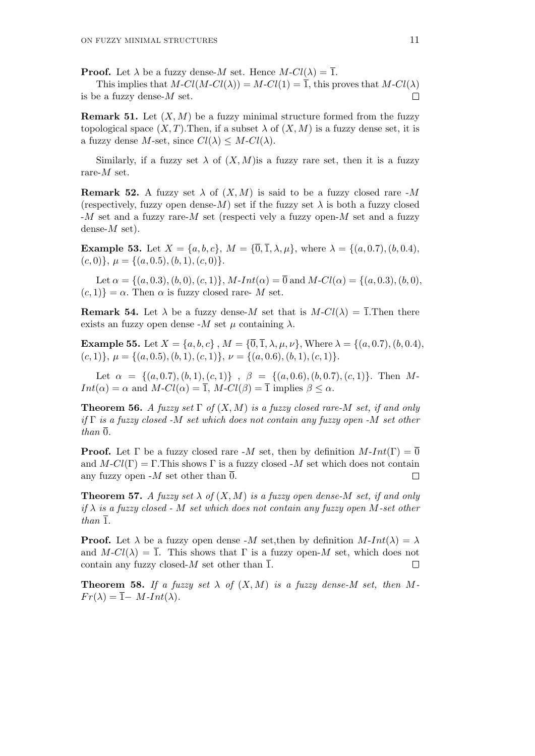**Proof.** Let  $\lambda$  be a fuzzy dense-*M* set. Hence  $M$ - $Cl(\lambda) = \overline{1}$ .

This implies that  $M$ - $Cl(M$ - $Cl(\lambda)) = M$ - $Cl(1) = \overline{1}$ , this proves that  $M$ - $Cl(\lambda)$ is be a fuzzy dense-*M* set.  $\Box$ 

**Remark 51.** Let  $(X, M)$  be a fuzzy minimal structure formed from the fuzzy topological space  $(X, T)$ . Then, if a subset  $\lambda$  of  $(X, M)$  is a fuzzy dense set, it is a fuzzy dense *M*-set, since  $Cl(\lambda) \leq M \cdot Cl(\lambda)$ .

Similarly, if a fuzzy set  $\lambda$  of  $(X, M)$  is a fuzzy rare set, then it is a fuzzy rare-*M* set.

**Remark 52.** A fuzzy set  $\lambda$  of  $(X, M)$  is said to be a fuzzy closed rare -*M* (respectively, fuzzy open dense-*M*) set if the fuzzy set  $\lambda$  is both a fuzzy closed -*M* set and a fuzzy rare-*M* set (respecti vely a fuzzy open-*M* set and a fuzzy dense-*M* set).

**Example 53.** Let  $X = \{a, b, c\}$ ,  $M = \{\overline{0}, \overline{1}, \lambda, \mu\}$ , where  $\lambda = \{(a, 0.7), (b, 0.4),$  $(c, 0)$ ,  $\mu = \{(a, 0.5), (b, 1), (c, 0)\}.$ 

Let  $\alpha = \{(a, 0.3), (b, 0), (c, 1)\}\$ , M-Int $(\alpha) = \overline{0}$  and M-Cl( $\alpha$ ) =  $\{(a, 0.3), (b, 0),$  $(c, 1)$ } =  $\alpha$ . Then  $\alpha$  is fuzzy closed rare- *M* set.

**Remark 54.** Let  $\lambda$  be a fuzzy dense-*M* set that is  $M - Cl(\lambda) = \overline{1}$ . Then there exists an fuzzy open dense  $-M$  set  $\mu$  containing  $\lambda$ .

**Example 55.** Let  $X = \{a, b, c\}$ ,  $M = \{\overline{0}, \overline{1}, \lambda, \mu, \nu\}$ , Where  $\lambda = \{(a, 0.7), (b, 0.4),$  $(c, 1)$ *}*,  $\mu = \{(a, 0.5), (b, 1), (c, 1)\}$ ,  $\nu = \{(a, 0.6), (b, 1), (c, 1)\}$ .

Let  $\alpha = \{(a, 0.7), (b, 1), (c, 1)\}$ ,  $\beta = \{(a, 0.6), (b, 0.7), (c, 1)\}$ . Then M-*Int*( $\alpha$ ) =  $\alpha$  and *M*-*Cl*( $\alpha$ ) =  $\overline{1}$ , *M*-*Cl*( $\beta$ ) =  $\overline{1}$  implies  $\beta \leq \alpha$ .

**Theorem 56.** *A fuzzy set* Γ *of* (*X, M*) *is a fuzzy closed rare-M set, if and only if* Γ *is a fuzzy closed -M set which does not contain any fuzzy open -M set other than*  $\overline{0}$ *.* 

**Proof.** Let  $\Gamma$  be a fuzzy closed rare -*M* set, then by definition  $M$ - $Int(\Gamma) = \overline{0}$ and  $M$ - $Cl(\Gamma) = \Gamma$ . This shows  $\Gamma$  is a fuzzy closed -*M* set which does not contain any fuzzy open  $-M$  set other than  $\overline{0}$ .

**Theorem 57.** *A fuzzy set*  $\lambda$  *of*  $(X, M)$  *is a fuzzy open dense-M set, if and only if λ is a fuzzy closed - M set which does not contain any fuzzy open M-set other than*  $\overline{1}$ *.* 

**Proof.** Let  $\lambda$  be a fuzzy open dense -*M* set,then by definition  $M$ -*Int*( $\lambda$ ) =  $\lambda$ and  $M\text{-}Cl(\lambda) = \overline{1}$ . This shows that  $\Gamma$  is a fuzzy open- $M$  set, which does not contain any fuzzy closed- $M$  set other than  $\overline{1}$ .  $\Box$ 

**Theorem 58.** If a fuzzy set  $\lambda$  of  $(X, M)$  is a fuzzy dense-M set, then M- $Fr(\lambda) = \overline{1} - M \cdot Int(\lambda)$ .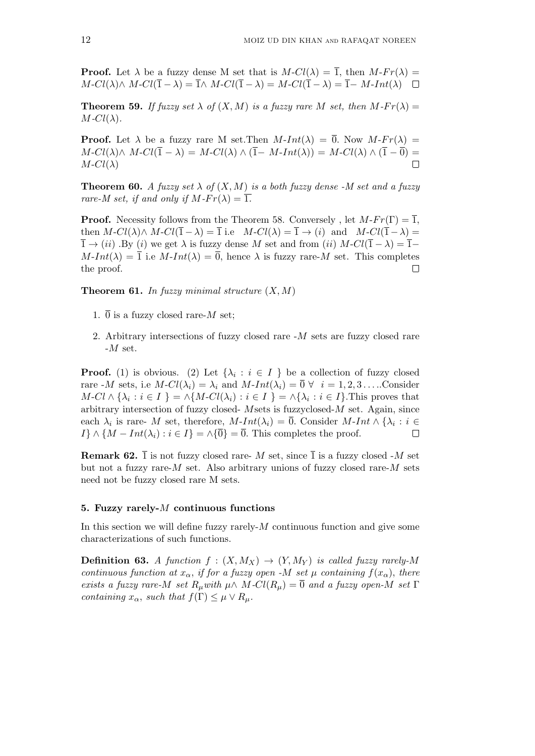**Proof.** Let  $\lambda$  be a fuzzy dense M set that is  $M$ - $Cl(\lambda) = \overline{1}$ , then  $M$ - $Fr(\lambda) =$ *M*-*Cl*( $\lambda$ ) $\wedge$  *M*-*Cl*( $\overline{1} - \lambda$ ) =  $\overline{1} \wedge$  *M*-*Cl*( $\overline{1} - \lambda$ ) =  $\overline{1} - M$ -*Int*( $\lambda$ ) □

**Theorem 59.** If fuzzy set  $\lambda$  of  $(X, M)$  is a fuzzy rare M set, then  $M$ - $Fr(\lambda)$  =  $M$ *-Cl*( $\lambda$ )*.* 

**Proof.** Let  $\lambda$  be a fuzzy rare M set. Then  $M$ -*Int*( $\lambda$ ) =  $\overline{0}$ . Now  $M$ - $Fr(\lambda)$  =  $M$ - $Cl(\overline{\lambda}) \wedge M$ - $Cl(\overline{1} - \lambda) = M$ - $Cl(\lambda) \wedge (\overline{1} - M$ - $Int(\lambda)) = M$ - $Cl(\lambda) \wedge (\overline{1} - \overline{0}) =$  $M$ *-Cl*( $\lambda$ )  $\Box$ 

**Theorem 60.** *A fuzzy set*  $\lambda$  *of*  $(X, M)$  *is a both fuzzy dense* -*M set and a fuzzy rare-M set, if and only if*  $M$ *-Fr(* $\lambda$ *)* =  $\overline{1}$ *.* 

**Proof.** Necessity follows from the Theorem 58. Conversely, let  $M-Fr(\Gamma) = \overline{1}$ , then  $M$ - $Cl(\lambda) \wedge M$ - $Cl(\overline{1} - \lambda) = \overline{1}$  i.e  $M$ - $Cl(\lambda) = \overline{1} \rightarrow (i)$  and  $M$ - $Cl(\overline{1} - \lambda) =$  $\overline{1} \rightarrow (ii)$ . By (*i*) we get  $\lambda$  is fuzzy dense *M* set and from (*ii*)  $M$ - $Cl(\overline{1} - \lambda) = \overline{1} M\text{-}Int(\lambda) = \overline{1}$  i.e  $M\text{-}Int(\lambda) = \overline{0}$ , hence  $\lambda$  is fuzzy rare-*M* set. This completes the proof.  $\Box$ 

**Theorem 61.** *In fuzzy minimal structure* (*X, M*)

- 1.  $\overline{0}$  is a fuzzy closed rare-*M* set;
- 2. Arbitrary intersections of fuzzy closed rare -*M* sets are fuzzy closed rare -*M* set.

**Proof.** (1) is obvious. (2) Let  $\{\lambda_i : i \in I\}$  be a collection of fuzzy closed rare  $-M$  sets, i.e  $M$ - $Cl(\lambda_i) = \lambda_i$  and  $M$ - $Int(\lambda_i) = \overline{0} \ \forall \ i = 1, 2, 3 \ldots$ ...Consider  $M\text{-}Cl \wedge {\lambda_i : i \in I} = \wedge {M\text{-}Cl(\lambda_i) : i \in I} = \wedge {\lambda_i : i \in I}.$  This proves that arbitrary intersection of fuzzy closed- *M*sets is fuzzyclosed-*M* set. Again, since each  $\lambda_i$  is rare- *M* set, therefore,  $M$ -*Int*( $\lambda_i$ ) = 0. Consider  $M$ -*Int*  $\wedge$  { $\lambda_i$  :  $i \in$ *I*<sup>}</sup> ∧ { $M - Int(\lambda_i) : i \in I$ } = ∧{ $\overline{0}$ } =  $\overline{0}$ . This completes the proof.  $\Box$ 

**Remark 62.**  $\overline{1}$  is not fuzzy closed rare- *M* set, since  $\overline{1}$  is a fuzzy closed -*M* set but not a fuzzy rare-*M* set. Also arbitrary unions of fuzzy closed rare-*M* sets need not be fuzzy closed rare M sets.

# **5. Fuzzy rarely-***M* **continuous functions**

In this section we will define fuzzy rarely-*M* continuous function and give some characterizations of such functions.

**Definition 63.** *A function*  $f : (X, M_X) \rightarrow (Y, M_Y)$  *is called fuzzy rarely-M continuous function at*  $x_\alpha$ *, if for a fuzzy open -M* set  $\mu$  *containing*  $f(x_\alpha)$ *, there exists a fuzzy rare-M set*  $R_\mu$ *with*  $\mu \wedge M$ - $Cl(R_\mu) = \overline{0}$  *and a fuzzy open-M set*  $\Gamma$ *containing*  $x_{\alpha}$ *, such that*  $f(\Gamma) \leq \mu \vee R_{\mu}$ *.*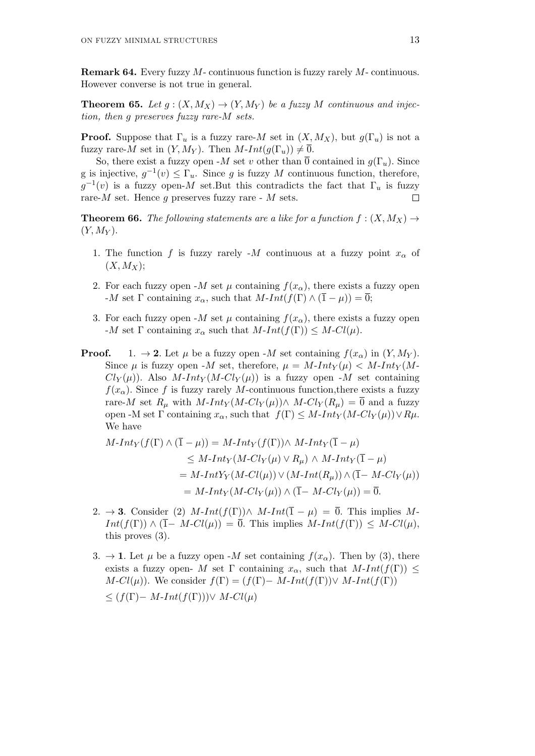**Remark 64.** Every fuzzy *M*- continuous function is fuzzy rarely *M*- continuous. However converse is not true in general.

**Theorem 65.** *Let*  $g: (X, M_X) \to (Y, M_Y)$  *be a fuzzy M continuous and injection, then g preserves fuzzy rare-M sets.*

**Proof.** Suppose that  $\Gamma_u$  is a fuzzy rare-*M* set in  $(X, M_X)$ , but  $g(\Gamma_u)$  is not a fuzzy rare-*M* set in  $(Y, M_Y)$ . Then  $M$ -*Int* $(g(\Gamma_u)) \neq \overline{0}$ .

So, there exist a fuzzy open  $-M$  set *v* other than  $\overline{0}$  contained in  $g(\Gamma_u)$ . Since g is injective,  $g^{-1}(v) \leq \Gamma_u$ . Since g is fuzzy M continuous function, therefore,  $g^{-1}(v)$  is a fuzzy open-*M* set.But this contradicts the fact that  $\Gamma_u$  is fuzzy rare-*M* set. Hence *g* preserves fuzzy rare - *M* sets.  $\Box$ 

**Theorem 66.** The following statements are a like for a function  $f : (X, M_X) \rightarrow$  $(Y, M_Y)$ .

- 1. The function f is fuzzy rarely  $-M$  continuous at a fuzzy point  $x<sub>\alpha</sub>$  of  $(X, M_X);$
- 2. For each fuzzy open  $-M$  set  $\mu$  containing  $f(x_{\alpha})$ , there exists a fuzzy open  $-M$  set  $\Gamma$  containing  $x_{\alpha}$ , such that  $M$ - $Int(f(\Gamma) \wedge (\overline{1} - \mu)) = \overline{0}$ ;
- 3. For each fuzzy open  $-M$  set  $\mu$  containing  $f(x_{\alpha})$ , there exists a fuzzy open  $-M$  set  $\Gamma$  containing  $x_{\alpha}$  such that  $M\text{-}Int(f(\Gamma)) \leq M\text{-}Cl(\mu)$ .
- **Proof.** 1.  $\rightarrow$  **2***.* Let  $\mu$  be a fuzzy open -*M* set containing  $f(x_{\alpha})$  in  $(Y, M_Y)$ . Since  $\mu$  is fuzzy open -*M* set, therefore,  $\mu = M$ -*Int*<sub>*Y*</sub>( $\mu$ )  $\lt M$ -*Int*<sub>*Y*</sub>( $M$ - $Cl_Y(\mu)$ *)*. Also *M*-*Int*<sub>*Y*</sub>(*M*-*Cl*<sub>*Y*</sub>( $\mu$ )) is a fuzzy open -*M* set containing  $f(x_0)$ . Since *f* is fuzzy rarely *M*-continuous function, there exists a fuzzy rare-*M* set  $R_\mu$  with  $M$ -*Int*<sub>*Y*</sub>( $M$ - $Cl$ <sub>*Y*</sub>( $\mu$ )) $\wedge$   $M$ - $Cl$ <sub>*Y*</sub>( $R_\mu$ ) =  $\overline{0}$  and a fuzzy open -M set  $\Gamma$  containing  $x_{\alpha}$ , such that  $f(\Gamma) \leq M$ -*Int*<sub>*Y*</sub> ( $M$ -*Cl*<sub>*Y*</sub> ( $\mu$ )) $\lor R\mu$ . We have

$$
M\text{-}Int_Y(f(\Gamma) \land (\overline{1} - \mu)) = M\text{-}Int_Y(f(\Gamma)) \land M\text{-}Int_Y(\overline{1} - \mu)
$$
  
\n
$$
\leq M\text{-}Int_Y(M\text{-}Cl_Y(\mu) \lor R_{\mu}) \land M\text{-}Int_Y(\overline{1} - \mu)
$$
  
\n
$$
= M\text{-}IntY_Y(M\text{-}Cl(\mu)) \lor (M\text{-}Int(R_{\mu})) \land (\overline{1} - M\text{-}Cl_Y(\mu))
$$
  
\n
$$
= M\text{-}Int_Y(M\text{-}Cl_Y(\mu)) \land (\overline{1} - M\text{-}Cl_Y(\mu)) = \overline{0}.
$$

- 2.  $\rightarrow$  **3***.* Consider (2) *M*-*Int*(*f*(Γ)) $\land$  *M*-*Int*( $\overline{1}$  *-*  $\mu$ ) =  $\overline{0}$ *.* This implies *M*- $Int(f(\Gamma)) \wedge (\overline{1} - M - Cl(\mu)) = \overline{0}$ . This implies  $M$ -*Int*( $f(\Gamma) \leq M - Cl(\mu)$ *,* this proves (3).
- 3.  $\rightarrow$  **1***.* Let  $\mu$  be a fuzzy open -*M* set containing  $f(x_{\alpha})$ *.* Then by (3)*,* there exists a fuzzy open- *M* set  $\Gamma$  containing  $x_\alpha$ , such that  $M\text{-}Int(f(\Gamma)) \leq$ *M*-*Cl*( $\mu$ )). We consider  $f(\Gamma) = (f(\Gamma) - M$ -*Int*( $f(\Gamma)$ )*∨ M*-*Int*( $f(\Gamma)$ ) *≤* (*f*(Γ)*− M*-*Int*(*f*(Γ)))*∨ M*-*Cl*(*µ*)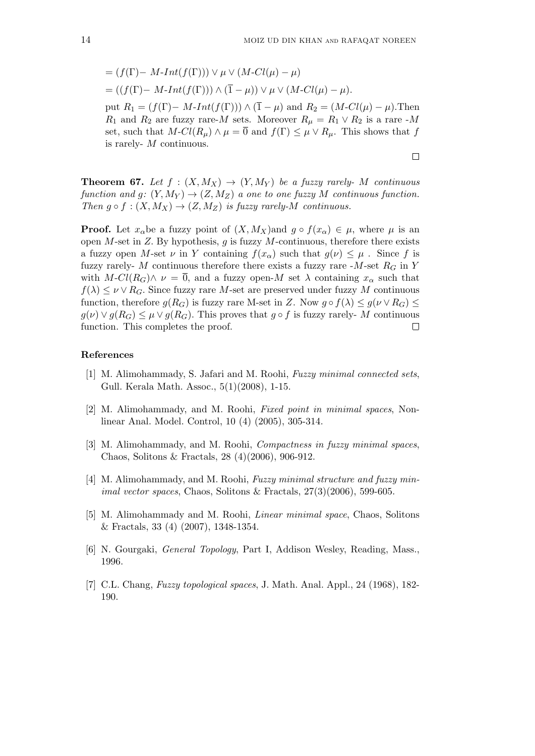$$
= (f(\Gamma) - M\text{-}Int(f(\Gamma))) \vee \mu \vee (M\text{-}Cl(\mu) - \mu)
$$
  
= ((f(\Gamma) - M\text{-}Int(f(\Gamma))) \wedge (\overline{1} - \mu)) \vee \mu \vee (M\text{-}Cl(\mu) - \mu).

put  $R_1 = (f(\Gamma) - M \cdot Int(f(\Gamma))) \wedge (\overline{1} - \mu)$  and  $R_2 = (M \cdot Cl(\mu) - \mu)$ . Then *R*<sub>1</sub> and *R*<sub>2</sub> are fuzzy rare-*M* sets. Moreover  $R_{\mu} = R_1 \vee R_2$  is a rare -*M* set, such that  $M$ - $Cl(R_\mu) \wedge \mu = \overline{0}$  and  $f(\Gamma) \leq \mu \vee R_\mu$ . This shows that f is rarely- *M* continuous.

**Theorem 67.** Let  $f : (X, M_X) \to (Y, M_Y)$  be a fuzzy rarely- M continuous *function and q*:  $(Y, M_Y) \rightarrow (Z, M_Z)$  *a one to one fuzzy M continuous function. Then*  $g \circ f : (X, M_X) \to (Z, M_Z)$  *is fuzzy rarely-M continuous.* 

**Proof.** Let  $x_{\alpha}$ be a fuzzy point of  $(X, M_X)$ and  $g \circ f(x_{\alpha}) \in \mu$ , where  $\mu$  is an open *M*-set in *Z.* By hypothesis, *g* is fuzzy *M*-continuous, therefore there exists a fuzzy open *M*-set  $\nu$  in *Y* containing  $f(x_\alpha)$  such that  $g(\nu) \leq \mu$ . Since f is fuzzy rarely- *M* continuous therefore there exists a fuzzy rare -*M*-set  $R_G$  in *Y* with  $M\text{-}Cl(R_G)\wedge \nu = 0$ , and a fuzzy open- $M$  set  $\lambda$  containing  $x_\alpha$  such that  $f(\lambda) \leq \nu \vee R_G$ . Since fuzzy rare *M*-set are preserved under fuzzy *M* continuous function, therefore  $g(R_G)$  is fuzzy rare M-set in *Z*. Now  $g \circ f(\lambda) \leq g(\nu \vee R_G) \leq$  $g(\nu) \vee g(R_G) \leq \mu \vee g(R_G)$ . This proves that  $g \circ f$  is fuzzy rarely- M continuous function. This completes the proof.  $\Box$ 

#### **References**

- [1] M. Alimohammady, S. Jafari and M. Roohi, *Fuzzy minimal connected sets*, Gull. Kerala Math. Assoc., 5(1)(2008), 1-15.
- [2] M. Alimohammady, and M. Roohi, *Fixed point in minimal spaces*, Nonlinear Anal. Model. Control, 10 (4) (2005), 305-314.
- [3] M. Alimohammady, and M. Roohi, *Compactness in fuzzy minimal spaces*, Chaos, Solitons & Fractals, 28 (4)(2006), 906-912.
- [4] M. Alimohammady, and M. Roohi, *Fuzzy minimal structure and fuzzy minimal vector spaces*, Chaos, Solitons & Fractals, 27(3)(2006), 599-605.
- [5] M. Alimohammady and M. Roohi, *Linear minimal space*, Chaos, Solitons & Fractals, 33 (4) (2007), 1348-1354.
- [6] N. Gourgaki, *General Topology*, Part I, Addison Wesley, Reading, Mass., 1996.
- [7] C.L. Chang, *Fuzzy topological spaces*, J. Math. Anal. Appl., 24 (1968), 182- 190.

 $\Box$